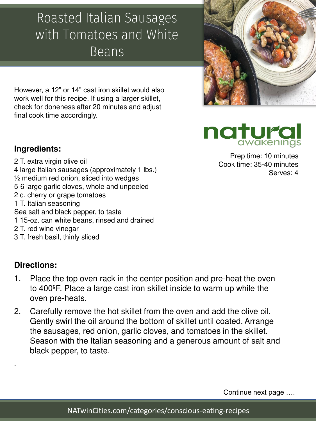However, a 12" or 14" cast iron skillet would also work well for this recipe. If using a larger skillet, check for doneness after 20 minutes and adjust final cook time accordingly.

### **Ingredients:**

- 2 T. extra virgin olive oil 4 large Italian sausages (approximately 1 lbs.) ½ medium red onion, sliced into wedges 5-6 large garlic cloves, whole and unpeeled 2 c. cherry or grape tomatoes 1 T. Italian seasoning Sea salt and black pepper, to taste 1 15-oz. can white beans, rinsed and drained 2 T. red wine vinegar
- 3 T. fresh basil, thinly sliced

#### **Directions:**

.

- 1. Place the top oven rack in the center position and pre-heat the oven to 400ºF. Place a large cast iron skillet inside to warm up while the oven pre-heats.
- 2. Carefully remove the hot skillet from the oven and add the olive oil. Gently swirl the oil around the bottom of skillet until coated. Arrange the sausages, red onion, garlic cloves, and tomatoes in the skillet. Season with the Italian seasoning and a generous amount of salt and black pepper, to taste.

Continue next page ….

## Roasted Italian Sausages with Tomatoes and White Beans